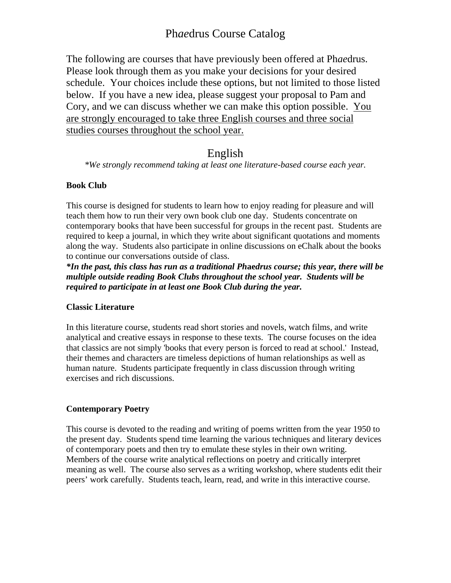The following are courses that have previously been offered at Ph*ae*drus. Please look through them as you make your decisions for your desired schedule. Your choices include these options, but not limited to those listed below. If you have a new idea, please suggest your proposal to Pam and Cory, and we can discuss whether we can make this option possible. You are strongly encouraged to take three English courses and three social studies courses throughout the school year.

## English

*\*We strongly recommend taking at least one literature-based course each year.* 

## **Book Club**

This course is designed for students to learn how to enjoy reading for pleasure and will teach them how to run their very own book club one day. Students concentrate on contemporary books that have been successful for groups in the recent past. Students are required to keep a journal, in which they write about significant quotations and moments along the way. Students also participate in online discussions on eChalk about the books to continue our conversations outside of class.

*\*In the past, this class has run as a traditional Ph***ae***drus course; this year, there will be multiple outside reading Book Clubs throughout the school year. Students will be required to participate in at least one Book Club during the year.* 

## **Classic Literature**

In this literature course, students read short stories and novels, watch films, and write analytical and creative essays in response to these texts. The course focuses on the idea that classics are not simply 'books that every person is forced to read at school.' Instead, their themes and characters are timeless depictions of human relationships as well as human nature. Students participate frequently in class discussion through writing exercises and rich discussions.

## **Contemporary Poetry**

This course is devoted to the reading and writing of poems written from the year 1950 to the present day. Students spend time learning the various techniques and literary devices of contemporary poets and then try to emulate these styles in their own writing. Members of the course write analytical reflections on poetry and critically interpret meaning as well. The course also serves as a writing workshop, where students edit their peers' work carefully. Students teach, learn, read, and write in this interactive course.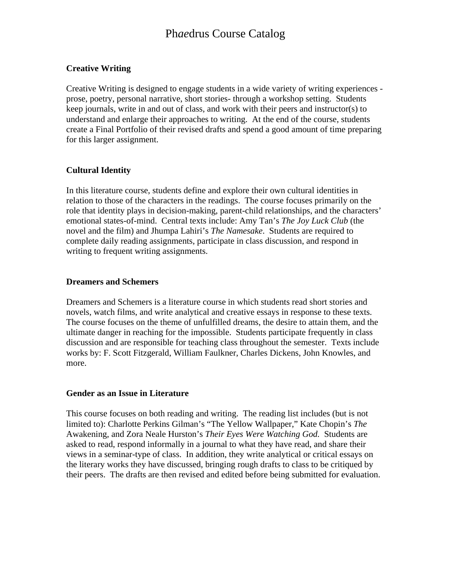## **Creative Writing**

Creative Writing is designed to engage students in a wide variety of writing experiences prose, poetry, personal narrative, short stories- through a workshop setting. Students keep journals, write in and out of class, and work with their peers and instructor(s) to understand and enlarge their approaches to writing. At the end of the course, students create a Final Portfolio of their revised drafts and spend a good amount of time preparing for this larger assignment.

## **Cultural Identity**

In this literature course, students define and explore their own cultural identities in relation to those of the characters in the readings. The course focuses primarily on the role that identity plays in decision-making, parent-child relationships, and the characters' emotional states-of-mind. Central texts include: Amy Tan's *The Joy Luck Club* (the novel and the film) and Jhumpa Lahiri's *The Namesake*. Students are required to complete daily reading assignments, participate in class discussion, and respond in writing to frequent writing assignments.

## **Dreamers and Schemers**

Dreamers and Schemers is a literature course in which students read short stories and novels, watch films, and write analytical and creative essays in response to these texts. The course focuses on the theme of unfulfilled dreams, the desire to attain them, and the ultimate danger in reaching for the impossible. Students participate frequently in class discussion and are responsible for teaching class throughout the semester. Texts include works by: F. Scott Fitzgerald, William Faulkner, Charles Dickens, John Knowles, and more.

## **Gender as an Issue in Literature**

This course focuses on both reading and writing. The reading list includes (but is not limited to): Charlotte Perkins Gilman's "The Yellow Wallpaper," Kate Chopin's *The*  Awakening, and Zora Neale Hurston's *Their Eyes Were Watching God.* Students are asked to read, respond informally in a journal to what they have read, and share their views in a seminar-type of class. In addition, they write analytical or critical essays on the literary works they have discussed, bringing rough drafts to class to be critiqued by their peers. The drafts are then revised and edited before being submitted for evaluation.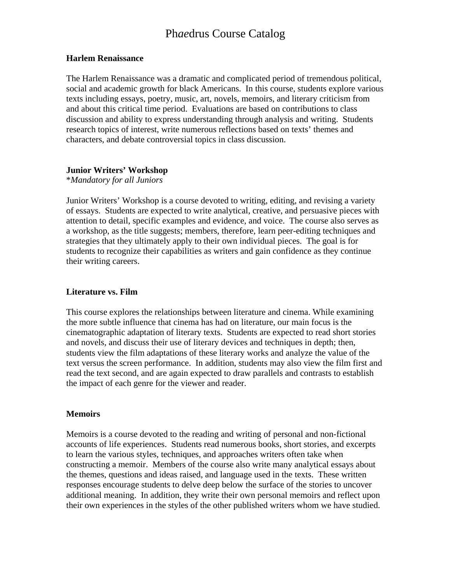#### **Harlem Renaissance**

The Harlem Renaissance was a dramatic and complicated period of tremendous political, social and academic growth for black Americans. In this course, students explore various texts including essays, poetry, music, art, novels, memoirs, and literary criticism from and about this critical time period. Evaluations are based on contributions to class discussion and ability to express understanding through analysis and writing. Students research topics of interest, write numerous reflections based on texts' themes and characters, and debate controversial topics in class discussion.

#### **Junior Writers' Workshop**

#### \**Mandatory for all Juniors*

Junior Writers' Workshop is a course devoted to writing, editing, and revising a variety of essays. Students are expected to write analytical, creative, and persuasive pieces with attention to detail, specific examples and evidence, and voice. The course also serves as a workshop, as the title suggests; members, therefore, learn peer-editing techniques and strategies that they ultimately apply to their own individual pieces. The goal is for students to recognize their capabilities as writers and gain confidence as they continue their writing careers.

#### **Literature vs. Film**

This course explores the relationships between literature and cinema. While examining the more subtle influence that cinema has had on literature, our main focus is the cinematographic adaptation of literary texts. Students are expected to read short stories and novels, and discuss their use of literary devices and techniques in depth; then, students view the film adaptations of these literary works and analyze the value of the text versus the screen performance. In addition, students may also view the film first and read the text second, and are again expected to draw parallels and contrasts to establish the impact of each genre for the viewer and reader.

#### **Memoirs**

Memoirs is a course devoted to the reading and writing of personal and non-fictional accounts of life experiences. Students read numerous books, short stories, and excerpts to learn the various styles, techniques, and approaches writers often take when constructing a memoir. Members of the course also write many analytical essays about the themes, questions and ideas raised, and language used in the texts. These written responses encourage students to delve deep below the surface of the stories to uncover additional meaning. In addition, they write their own personal memoirs and reflect upon their own experiences in the styles of the other published writers whom we have studied.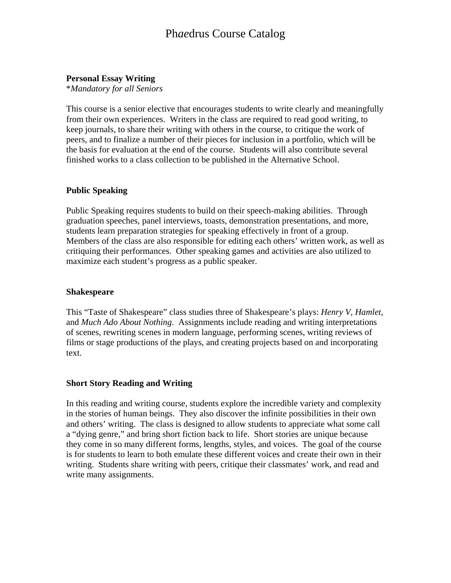## **Personal Essay Writing**

\**Mandatory for all Seniors* 

This course is a senior elective that encourages students to write clearly and meaningfully from their own experiences. Writers in the class are required to read good writing, to keep journals, to share their writing with others in the course, to critique the work of peers, and to finalize a number of their pieces for inclusion in a portfolio, which will be the basis for evaluation at the end of the course. Students will also contribute several finished works to a class collection to be published in the Alternative School.

## **Public Speaking**

Public Speaking requires students to build on their speech-making abilities. Through graduation speeches, panel interviews, toasts, demonstration presentations, and more, students learn preparation strategies for speaking effectively in front of a group. Members of the class are also responsible for editing each others' written work, as well as critiquing their performances. Other speaking games and activities are also utilized to maximize each student's progress as a public speaker.

## **Shakespeare**

This "Taste of Shakespeare" class studies three of Shakespeare's plays: *Henry V, Hamlet,*  and *Much Ado About Nothing*. Assignments include reading and writing interpretations of scenes, rewriting scenes in modern language, performing scenes, writing reviews of films or stage productions of the plays, and creating projects based on and incorporating text.

## **Short Story Reading and Writing**

In this reading and writing course, students explore the incredible variety and complexity in the stories of human beings. They also discover the infinite possibilities in their own and others' writing. The class is designed to allow students to appreciate what some call a "dying genre," and bring short fiction back to life. Short stories are unique because they come in so many different forms, lengths, styles, and voices. The goal of the course is for students to learn to both emulate these different voices and create their own in their writing. Students share writing with peers, critique their classmates' work, and read and write many assignments.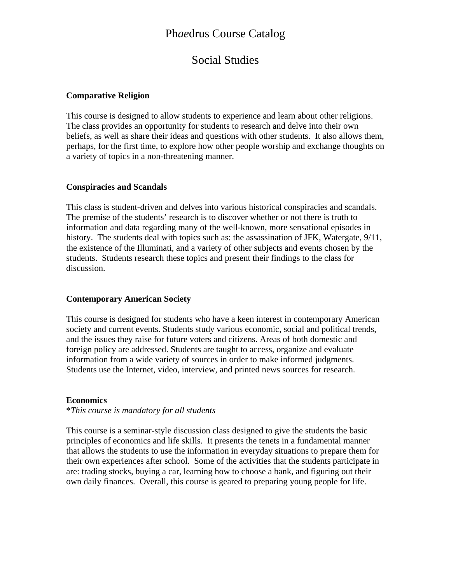## Social Studies

### **Comparative Religion**

This course is designed to allow students to experience and learn about other religions. The class provides an opportunity for students to research and delve into their own beliefs, as well as share their ideas and questions with other students. It also allows them, perhaps, for the first time, to explore how other people worship and exchange thoughts on a variety of topics in a non-threatening manner.

#### **Conspiracies and Scandals**

This class is student-driven and delves into various historical conspiracies and scandals. The premise of the students' research is to discover whether or not there is truth to information and data regarding many of the well-known, more sensational episodes in history. The students deal with topics such as: the assassination of JFK, Watergate, 9/11, the existence of the Illuminati, and a variety of other subjects and events chosen by the students. Students research these topics and present their findings to the class for discussion.

#### **Contemporary American Society**

This course is designed for students who have a keen interest in contemporary American society and current events. Students study various economic, social and political trends, and the issues they raise for future voters and citizens. Areas of both domestic and foreign policy are addressed. Students are taught to access, organize and evaluate information from a wide variety of sources in order to make informed judgments. Students use the Internet, video, interview, and printed news sources for research.

## **Economics**

#### \**This course is mandatory for all students*

This course is a seminar-style discussion class designed to give the students the basic principles of economics and life skills. It presents the tenets in a fundamental manner that allows the students to use the information in everyday situations to prepare them for their own experiences after school. Some of the activities that the students participate in are: trading stocks, buying a car, learning how to choose a bank, and figuring out their own daily finances. Overall, this course is geared to preparing young people for life.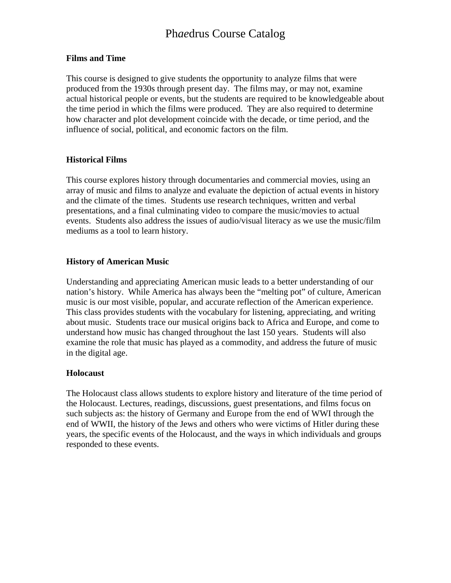#### **Films and Time**

This course is designed to give students the opportunity to analyze films that were produced from the 1930s through present day. The films may, or may not, examine actual historical people or events, but the students are required to be knowledgeable about the time period in which the films were produced. They are also required to determine how character and plot development coincide with the decade, or time period, and the influence of social, political, and economic factors on the film.

#### **Historical Films**

This course explores history through documentaries and commercial movies, using an array of music and films to analyze and evaluate the depiction of actual events in history and the climate of the times. Students use research techniques, written and verbal presentations, and a final culminating video to compare the music/movies to actual events. Students also address the issues of audio/visual literacy as we use the music/film mediums as a tool to learn history.

#### **History of American Music**

Understanding and appreciating American music leads to a better understanding of our nation's history. While America has always been the "melting pot" of culture, American music is our most visible, popular, and accurate reflection of the American experience. This class provides students with the vocabulary for listening, appreciating, and writing about music. Students trace our musical origins back to Africa and Europe, and come to understand how music has changed throughout the last 150 years. Students will also examine the role that music has played as a commodity, and address the future of music in the digital age.

#### **Holocaust**

The Holocaust class allows students to explore history and literature of the time period of the Holocaust. Lectures, readings, discussions, guest presentations, and films focus on such subjects as: the history of Germany and Europe from the end of WWI through the end of WWII, the history of the Jews and others who were victims of Hitler during these years, the specific events of the Holocaust, and the ways in which individuals and groups responded to these events.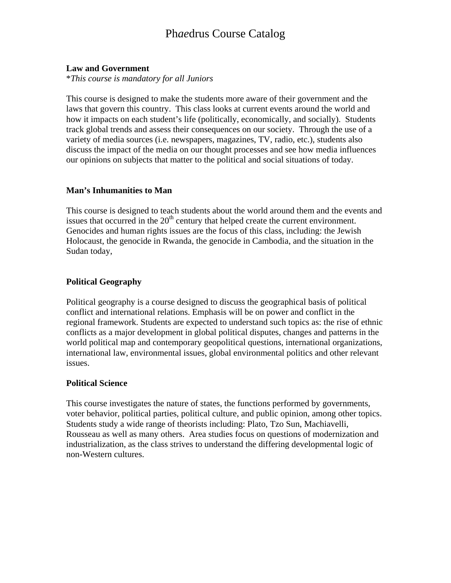## **Law and Government**

\**This course is mandatory for all Juniors*

This course is designed to make the students more aware of their government and the laws that govern this country. This class looks at current events around the world and how it impacts on each student's life (politically, economically, and socially). Students track global trends and assess their consequences on our society. Through the use of a variety of media sources (i.e. newspapers, magazines, TV, radio, etc.), students also discuss the impact of the media on our thought processes and see how media influences our opinions on subjects that matter to the political and social situations of today.

## **Man's Inhumanities to Man**

This course is designed to teach students about the world around them and the events and issues that occurred in the  $20<sup>th</sup>$  century that helped create the current environment. Genocides and human rights issues are the focus of this class, including: the Jewish Holocaust, the genocide in Rwanda, the genocide in Cambodia, and the situation in the Sudan today,

## **Political Geography**

Political geography is a course designed to discuss the geographical basis of political conflict and international relations. Emphasis will be on power and conflict in the regional framework. Students are expected to understand such topics as: the rise of ethnic conflicts as a major development in global political disputes, changes and patterns in the world political map and contemporary geopolitical questions, international organizations, international law, environmental issues, global environmental politics and other relevant issues.

## **Political Science**

This course investigates the nature of states, the functions performed by governments, voter behavior, political parties, political culture, and public opinion, among other topics. Students study a wide range of theorists including: Plato, Tzo Sun, Machiavelli, Rousseau as well as many others. Area studies focus on questions of modernization and industrialization, as the class strives to understand the differing developmental logic of non-Western cultures.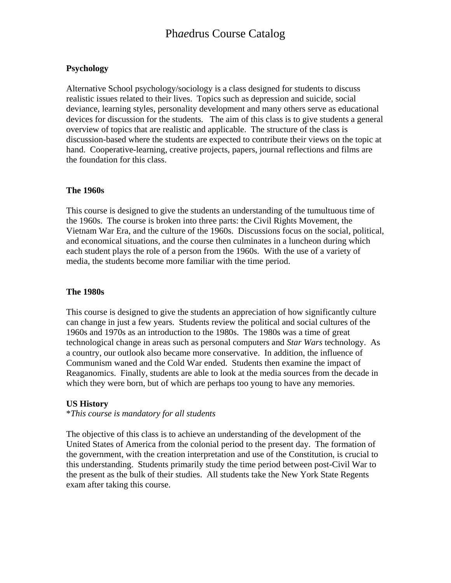## **Psychology**

Alternative School psychology/sociology is a class designed for students to discuss realistic issues related to their lives. Topics such as depression and suicide, social deviance, learning styles, personality development and many others serve as educational devices for discussion for the students. The aim of this class is to give students a general overview of topics that are realistic and applicable. The structure of the class is discussion-based where the students are expected to contribute their views on the topic at hand. Cooperative-learning, creative projects, papers, journal reflections and films are the foundation for this class.

### **The 1960s**

This course is designed to give the students an understanding of the tumultuous time of the 1960s. The course is broken into three parts: the Civil Rights Movement, the Vietnam War Era, and the culture of the 1960s. Discussions focus on the social, political, and economical situations, and the course then culminates in a luncheon during which each student plays the role of a person from the 1960s. With the use of a variety of media, the students become more familiar with the time period.

## **The 1980s**

This course is designed to give the students an appreciation of how significantly culture can change in just a few years. Students review the political and social cultures of the 1960s and 1970s as an introduction to the 1980s. The 1980s was a time of great technological change in areas such as personal computers and *Star Wars* technology. As a country, our outlook also became more conservative. In addition, the influence of Communism waned and the Cold War ended. Students then examine the impact of Reaganomics. Finally, students are able to look at the media sources from the decade in which they were born, but of which are perhaps too young to have any memories.

## **US History**

#### \**This course is mandatory for all students*

The objective of this class is to achieve an understanding of the development of the United States of America from the colonial period to the present day. The formation of the government, with the creation interpretation and use of the Constitution, is crucial to this understanding. Students primarily study the time period between post-Civil War to the present as the bulk of their studies. All students take the New York State Regents exam after taking this course.